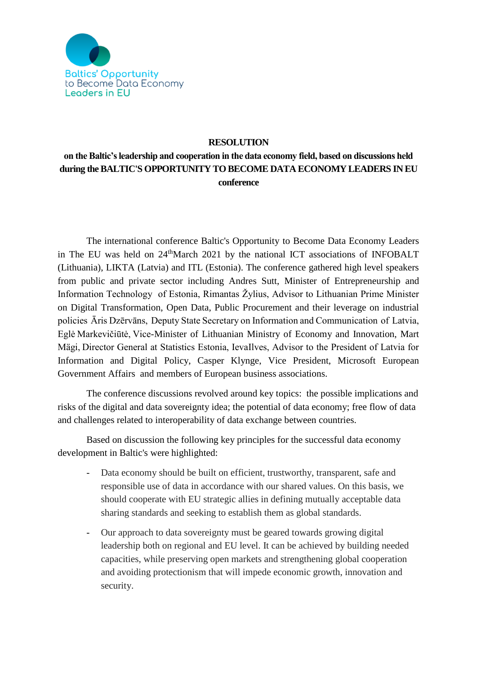

## **RESOLUTION**

## **on the Baltic's leadership and cooperation in the data economy field, based on discussions held during theBALTIC'S OPPORTUNITY TO BECOME DATA ECONOMY LEADERS IN EU conference**

The international conference Baltic's Opportunity to Become Data Economy Leaders in The EU was held on 24thMarch 2021 by the national ICT associations of INFOBALT (Lithuania), LIKTA (Latvia) and ITL (Estonia). The conference gathered high level speakers from public and private sector including Andres Sutt, Minister of Entrepreneurship and Information Technology of Estonia, Rimantas Žylius, Advisor to Lithuanian Prime Minister on Digital Transformation, Open Data, Public Procurement and their leverage on industrial policies Āris Dzērvāns, Deputy State Secretary on Information and Communication of Latvia, Eglė Markevičiūtė, Vice-Minister of Lithuanian Ministry of Economy and Innovation, Mart Mägi, Director General at Statistics Estonia, IevaIlves, Advisor to the President of Latvia for Information and Digital Policy, Casper Klynge, Vice President, Microsoft European Government Affairs and members of European business associations.

The conference discussions revolved around key topics: the possible implications and risks of the digital and data sovereignty idea; the potential of data economy; free flow of data and challenges related to interoperability of data exchange between countries.

Based on discussion the following key principles for the successful data economy development in Baltic's were highlighted:

- Data economy should be built on efficient, trustworthy, transparent, safe and responsible use of data in accordance with our shared values. On this basis, we should cooperate with EU strategic allies in defining mutually acceptable data sharing standards and seeking to establish them as global standards.
- Our approach to data sovereignty must be geared towards growing digital leadership both on regional and EU level. It can be achieved by building needed capacities, while preserving open markets and strengthening global cooperation and avoiding protectionism that will impede economic growth, innovation and security.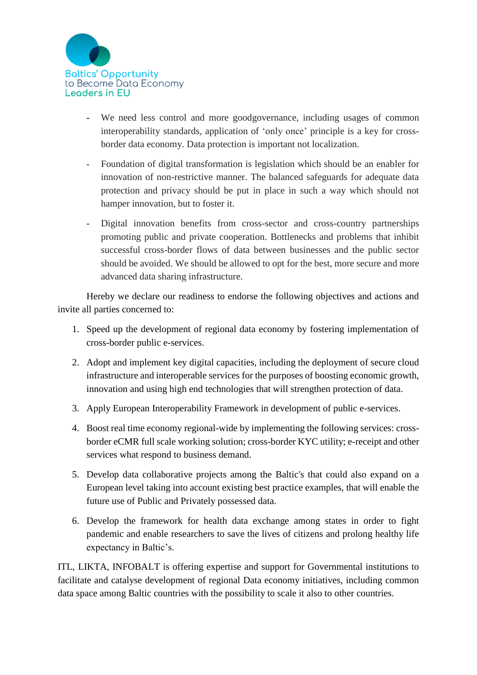

- We need less control and more goodgovernance, including usages of common interoperability standards, application of 'only once' principle is a key for crossborder data economy. Data protection is important not localization.
- Foundation of digital transformation is legislation which should be an enabler for innovation of non-restrictive manner. The balanced safeguards for adequate data protection and privacy should be put in place in such a way which should not hamper innovation, but to foster it.
- Digital innovation benefits from cross-sector and cross-country partnerships promoting public and private cooperation. Bottlenecks and problems that inhibit successful cross-border flows of data between businesses and the public sector should be avoided. We should be allowed to opt for the best, more secure and more advanced data sharing infrastructure.

Hereby we declare our readiness to endorse the following objectives and actions and invite all parties concerned to:

- 1. Speed up the development of regional data economy by fostering implementation of cross-border public e-services.
- 2. Adopt and implement key digital capacities, including the deployment of secure cloud infrastructure and interoperable services for the purposes of boosting economic growth, innovation and using high end technologies that will strengthen protection of data.
- 3. Apply European Interoperability Framework in development of public e-services.
- 4. Boost real time economy regional-wide by implementing the following services: crossborder eCMR full scale working solution; cross-border KYC utility; e-receipt and other services what respond to business demand.
- 5. Develop data collaborative projects among the Baltic's that could also expand on a European level taking into account existing best practice examples, that will enable the future use of Public and Privately possessed data.
- 6. Develop the framework for health data exchange among states in order to fight pandemic and enable researchers to save the lives of citizens and prolong healthy life expectancy in Baltic's.

ITL, LIKTA, INFOBALT is offering expertise and support for Governmental institutions to facilitate and catalyse development of regional Data economy initiatives, including common data space among Baltic countries with the possibility to scale it also to other countries.